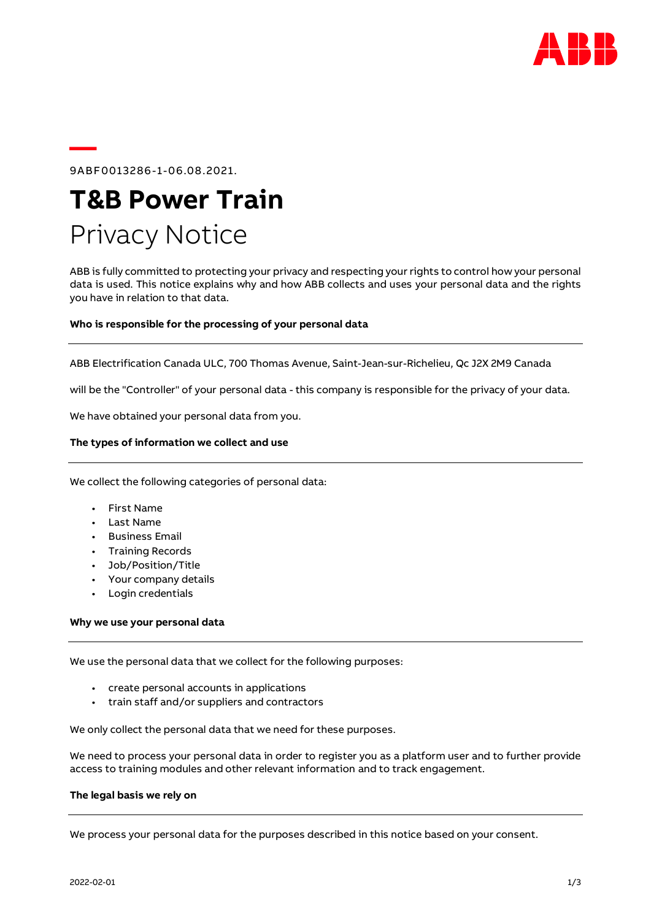

# 9ABF0013286-1-06.08.2021.

**—**

# **T&B Power Train**  Privacy Notice

ABB is fully committed to protecting your privacy and respecting your rights to control how your personal data is used. This notice explains why and how ABB collects and uses your personal data and the rights you have in relation to that data.

# **Who is responsible for the processing of your personal data**

ABB Electrification Canada ULC, 700 Thomas Avenue, Saint-Jean-sur-Richelieu, Qc J2X 2M9 Canada

will be the "Controller" of your personal data - this company is responsible for the privacy of your data.

We have obtained your personal data from you.

# **The types of information we collect and use**

We collect the following categories of personal data:

- First Name
- Last Name
- Business Email
- Training Records
- Job/Position/Title
- Your company details
- Login credentials

#### **Why we use your personal data**

We use the personal data that we collect for the following purposes:

- create personal accounts in applications
- train staff and/or suppliers and contractors

We only collect the personal data that we need for these purposes.

We need to process your personal data in order to register you as a platform user and to further provide access to training modules and other relevant information and to track engagement.

#### **The legal basis we rely on**

We process your personal data for the purposes described in this notice based on your consent.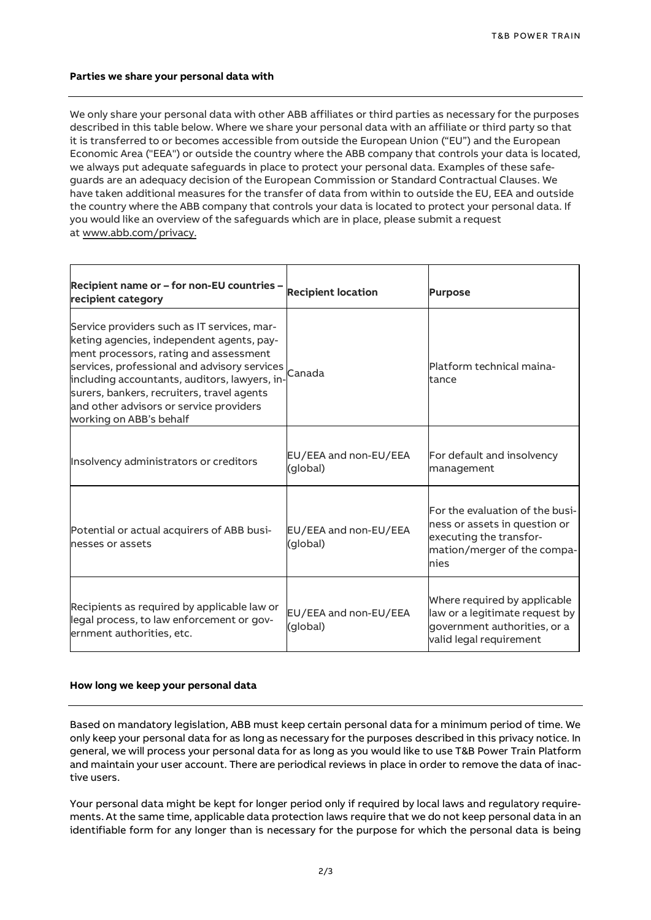#### **Parties we share your personal data with**

We only share your personal data with other ABB affiliates or third parties as necessary for the purposes described in this table below. Where we share your personal data with an affiliate or third party so that it is transferred to or becomes accessible from outside the European Union ("EU") and the European Economic Area ("EEA") or outside the country where the ABB company that controls your data is located, we always put adequate safeguards in place to protect your personal data. Examples of these safeguards are an adequacy decision of the European Commission or Standard Contractual Clauses. We have taken additional measures for the transfer of data from within to outside the EU, EEA and outside the country where the ABB company that controls your data is located to protect your personal data. If you would like an overview of the safeguards which are in place, please submit a request at [www.abb.com/privacy.](http://www.abb.com/privacy)

| Recipient name or – for non-EU countries – $\vert$ Recipient location<br>recipient category                                                                                                                                                                                                                                                             |                                   | <b>Purpose</b>                                                                                                                     |
|---------------------------------------------------------------------------------------------------------------------------------------------------------------------------------------------------------------------------------------------------------------------------------------------------------------------------------------------------------|-----------------------------------|------------------------------------------------------------------------------------------------------------------------------------|
| Service providers such as IT services, mar-<br>keting agencies, independent agents, pay-<br>ment processors, rating and assessment<br>services, professional and advisory services<br>including accountants, auditors, lawyers, in-<br>surers, bankers, recruiters, travel agents<br>and other advisors or service providers<br>working on ABB's behalf | Canada                            | Platform technical maina-<br>tance                                                                                                 |
| Insolvency administrators or creditors                                                                                                                                                                                                                                                                                                                  | EU/EEA and non-EU/EEA<br>(global) | For default and insolvency<br>management                                                                                           |
| Potential or actual acquirers of ABB busi-<br>nesses or assets                                                                                                                                                                                                                                                                                          | EU/EEA and non-EU/EEA<br>(global) | For the evaluation of the busi-<br>ness or assets in question or<br>executing the transfor-<br>mation/merger of the compa-<br>nies |
| Recipients as required by applicable law or<br>legal process, to law enforcement or gov-<br>ernment authorities, etc.                                                                                                                                                                                                                                   | EU/EEA and non-EU/EEA<br>(global) | Where required by applicable<br>law or a legitimate request by<br>government authorities, or a<br>valid legal requirement          |

#### **How long we keep your personal data**

Based on mandatory legislation, ABB must keep certain personal data for a minimum period of time. We only keep your personal data for as long as necessary for the purposes described in this privacy notice. In general, we will process your personal data for as long as you would like to use T&B Power Train Platform and maintain your user account. There are periodical reviews in place in order to remove the data of inactive users.

Your personal data might be kept for longer period only if required by local laws and regulatory requirements. At the same time, applicable data protection laws require that we do not keep personal data in an identifiable form for any longer than is necessary for the purpose for which the personal data is being